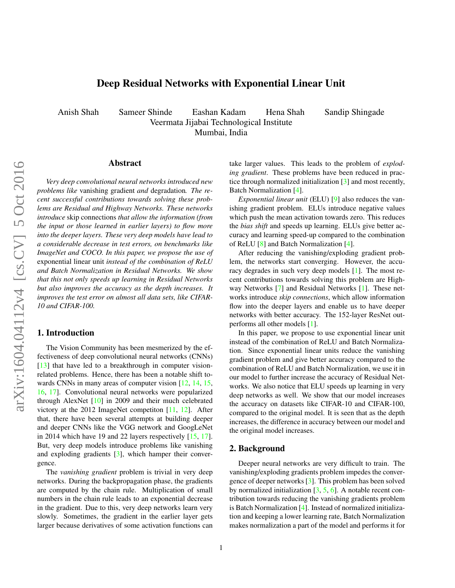# Deep Residual Networks with Exponential Linear Unit

<span id="page-0-0"></span>Anish Shah Sameer Shinde Eashan Kadam Hena Shah Sandip Shingade Veermata Jijabai Technological Institute Mumbai, India

# Abstract

*Very deep convolutional neural networks introduced new problems like* vanishing gradient *and* degradation*. The recent successful contributions towards solving these problems are Residual and Highway Networks. These networks introduce* skip connections *that allow the information (from the input or those learned in earlier layers) to flow more into the deeper layers. These very deep models have lead to a considerable decrease in test errors, on benchmarks like ImageNet and COCO. In this paper, we propose the use of* exponential linear unit *instead of the combination of ReLU and Batch Normalization in Residual Networks. We show that this not only speeds up learning in Residual Networks but also improves the accuracy as the depth increases. It improves the test error on almost all data sets, like CIFAR-10 and CIFAR-100.*

# 1. Introduction

The Vision Community has been mesmerized by the effectiveness of deep convolutional neural networks (CNNs) [\[13\]](#page-5-0) that have led to a breakthrough in computer visionrelated problems. Hence, there has been a notable shift to-wards CNNs in many areas of computer vision [\[12,](#page-5-1) [14,](#page-5-2) [15,](#page-5-3) [16,](#page-6-0) [17\]](#page-6-1). Convolutional neural networks were popularized through AlexNet [\[10\]](#page-5-4) in 2009 and their much celebrated victory at the 2012 ImageNet competiton [\[11,](#page-5-5) [12\]](#page-5-1). After that, there have been several attempts at building deeper and deeper CNNs like the VGG network and GoogLeNet in 2014 which have 19 and 22 layers respectively [\[15,](#page-5-3) [17\]](#page-6-1). But, very deep models introduce problems like vanishing and exploding gradients [\[3\]](#page-5-6), which hamper their convergence.

The *vanishing gradient* problem is trivial in very deep networks. During the backpropagation phase, the gradients are computed by the chain rule. Multiplication of small numbers in the chain rule leads to an exponential decrease in the gradient. Due to this, very deep networks learn very slowly. Sometimes, the gradient in the earlier layer gets larger because derivatives of some activation functions can take larger values. This leads to the problem of *exploding gradient*. These problems have been reduced in practice through normalized initialization [\[3\]](#page-5-6) and most recently, Batch Normalization [\[4\]](#page-5-7).

*Exponential linear unit* (ELU) [\[9\]](#page-5-8) also reduces the vanishing gradient problem. ELUs introduce negative values which push the mean activation towards zero. This reduces the *bias shift* and speeds up learning. ELUs give better accuracy and learning speed-up compared to the combination of ReLU [\[8\]](#page-5-9) and Batch Normalization [\[4\]](#page-5-7).

After reducing the vanishing/exploding gradient problem, the networks start converging. However, the accuracy degrades in such very deep models [\[1\]](#page-5-10). The most recent contributions towards solving this problem are Highway Networks [\[7\]](#page-5-11) and Residual Networks [\[1\]](#page-5-10). These networks introduce *skip connections*, which allow information flow into the deeper layers and enable us to have deeper networks with better accuracy. The 152-layer ResNet outperforms all other models [\[1\]](#page-5-10).

In this paper, we propose to use exponential linear unit instead of the combination of ReLU and Batch Normalization. Since exponential linear units reduce the vanishing gradient problem and give better accuracy compared to the combination of ReLU and Batch Normalization, we use it in our model to further increase the accuracy of Residual Networks. We also notice that ELU speeds up learning in very deep networks as well. We show that our model increases the accuracy on datasets like CIFAR-10 and CIFAR-100, compared to the original model. It is seen that as the depth increases, the difference in accuracy between our model and the original model increases.

### 2. Background

Deeper neural networks are very difficult to train. The vanishing/exploding gradients problem impedes the convergence of deeper networks [\[3\]](#page-5-6). This problem has been solved by normalized initialization  $[3, 5, 6]$  $[3, 5, 6]$  $[3, 5, 6]$  $[3, 5, 6]$  $[3, 5, 6]$ . A notable recent contribution towards reducing the vanishing gradients problem is Batch Normalization [\[4\]](#page-5-7). Instead of normalized initialization and keeping a lower learning rate, Batch Normalization makes normalization a part of the model and performs it for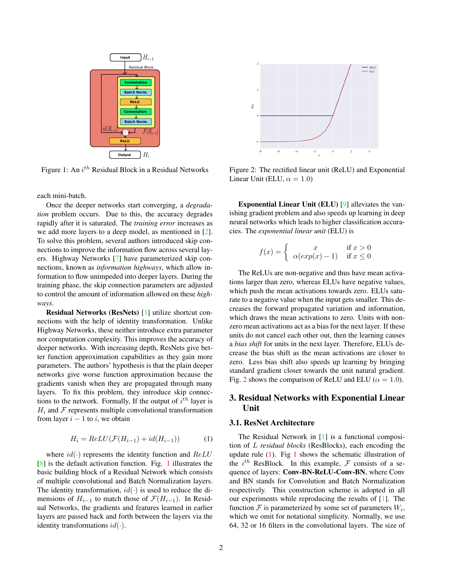<span id="page-1-3"></span><span id="page-1-0"></span>

Figure 1: An  $i^{th}$  Residual Block in a Residual Networks

each mini-batch.

Once the deeper networks start converging, a *degradation* problem occurs. Due to this, the accuracy degrades rapidly after it is saturated. The *training error* increases as we add more layers to a deep model, as mentioned in [\[2\]](#page-5-14). To solve this problem, several authors introduced skip connections to improve the information flow across several layers. Highway Networks [\[7\]](#page-5-11) have parameterized skip connections, known as *information highways*, which allow information to flow unimpeded into deeper layers. During the training phase, the skip connection parameters are adjusted to control the amount of information allowed on these *highways*.

Residual Networks (ResNets) [\[1\]](#page-5-10) utilize shortcut connections with the help of identity transformation. Unlike Highway Networks, these neither introduce extra parameter nor computation complexity. This improves the accuracy of deeper networks. With increasing depth, ResNets give better function approximation capabilities as they gain more parameters. The authors' hypothesis is that the plain deeper networks give worse function approximation because the gradients vanish when they are propagated through many layers. To fix this problem, they introduce skip connections to the network. Formally, If the output of  $i^{th}$  layer is  $H_i$  and  $\mathcal F$  represents multiple convolutional transformation from layer  $i - 1$  to i, we obtain

<span id="page-1-2"></span>
$$
H_i = ReLU(\mathcal{F}(H_{i-1}) + id(H_{i-1}))
$$
 (1)

where  $id(\cdot)$  represents the identity function and  $ReLU$ [\[8\]](#page-5-9) is the default activation function. Fig. [1](#page-1-0) illustrates the basic building block of a Residual Network which consists of multiple convolutional and Batch Normalization layers. The identity transformation,  $id(\cdot)$  is used to reduce the dimensions of  $H_{i-1}$  to match those of  $\mathcal{F}(H_{i-1})$ . In Residual Networks, the gradients and features learned in earlier layers are passed back and forth between the layers via the identity transformations  $id(\cdot)$ .

<span id="page-1-1"></span>

Figure 2: The rectified linear unit (ReLU) and Exponential Linear Unit (ELU,  $\alpha = 1.0$ )

Exponential Linear Unit (ELU) [\[9\]](#page-5-8) alleviates the vanishing gradient problem and also speeds up learning in deep neural networks which leads to higher classification accuracies. The *exponential linear unit* (ELU) is

$$
f(x) = \begin{cases} x & \text{if } x > 0\\ \alpha(exp(x) - 1) & \text{if } x \le 0 \end{cases}
$$

The ReLUs are non-negative and thus have mean activations larger than zero, whereas ELUs have negative values, which push the mean activations towards zero. ELUs saturate to a negative value when the input gets smaller. This decreases the forward propagated variation and information, which draws the mean activations to zero. Units with nonzero mean activations act as a bias for the next layer. If these units do not cancel each other out, then the learning causes a *bias shift* for units in the next layer. Therefore, ELUs decrease the bias shift as the mean activations are closer to zero. Less bias shift also speeds up learning by bringing standard gradient closer towards the unit natural gradient. Fig. [2](#page-1-1) shows the comparison of ReLU and ELU ( $\alpha = 1.0$ ).

# 3. Residual Networks with Exponential Linear Unit

#### 3.1. ResNet Architecture

The Residual Network in [\[1\]](#page-5-10) is a functional composition of L *residual blocks* (ResBlocks), each encoding the update rule  $(1)$ . Fig [1](#page-1-0) shows the schematic illustration of the  $i^{th}$  ResBlock. In this example,  $\mathcal F$  consists of a sequence of layers: Conv-BN-ReLU-Conv-BN, where Conv and BN stands for Convolution and Batch Normalization respectively. This construction scheme is adopted in all our experiments while reproducing the results of [\[1\]](#page-5-10). The function  $\mathcal F$  is parameterized by some set of parameters  $W_i$ , which we omit for notational simplicity. Normally, we use 64, 32 or 16 filters in the convolutional layers. The size of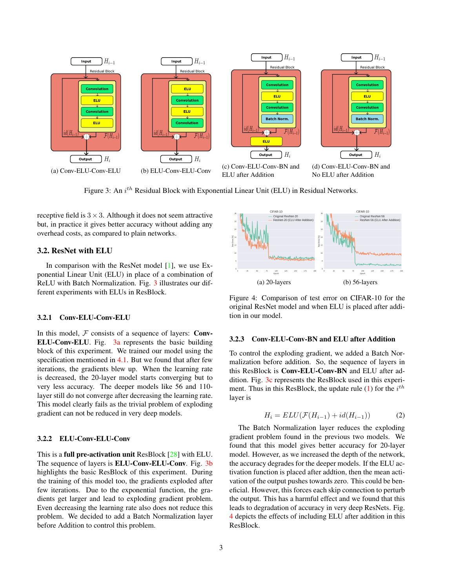<span id="page-2-2"></span><span id="page-2-0"></span>

Figure 3: An i<sup>th</sup> Residual Block with Exponential Linear Unit (ELU) in Residual Networks.

receptive field is  $3 \times 3$ . Although it does not seem attractive but, in practice it gives better accuracy without adding any overhead costs, as compared to plain networks.

#### 3.2. ResNet with ELU

In comparison with the ResNet model [\[1\]](#page-5-10), we use Exponential Linear Unit (ELU) in place of a combination of ReLU with Batch Normalization. Fig. [3](#page-2-0) illustrates our different experiments with ELUs in ResBlock.

### 3.2.1 Conv-ELU-Conv-ELU

In this model,  $F$  consists of a sequence of layers: **Conv-**ELU-Conv-ELU. Fig. [3a](#page-2-0) represents the basic building block of this experiment. We trained our model using the specification mentioned in [4.1.](#page-3-0) But we found that after few iterations, the gradients blew up. When the learning rate is decreased, the 20-layer model starts converging but to very less accuracy. The deeper models like 56 and 110 layer still do not converge after decreasing the learning rate. This model clearly fails as the trivial problem of exploding gradient can not be reduced in very deep models.

#### 3.2.2 ELU-Conv-ELU-Conv

This is a full pre-activation unit ResBlock [\[28\]](#page-6-2) with ELU. The sequence of layers is ELU-Conv-ELU-Conv. Fig. [3b](#page-2-0) highlights the basic ResBlock of this experiment. During the training of this model too, the gradients exploded after few iterations. Due to the exponential function, the gradients get larger and lead to exploding gradient problem. Even decreasing the learning rate also does not reduce this problem. We decided to add a Batch Normalization layer before Addition to control this problem.

<span id="page-2-1"></span>

Figure 4: Comparison of test error on CIFAR-10 for the original ResNet model and when ELU is placed after addition in our model.

### 3.2.3 Conv-ELU-Conv-BN and ELU after Addition

To control the exploding gradient, we added a Batch Normalization before addition. So, the sequence of layers in this ResBlock is Conv-ELU-Conv-BN and ELU after addition. Fig. [3c](#page-2-0) represents the ResBlock used in this experi-ment. Thus in this ResBlock, the update rule [\(1\)](#page-1-2) for the  $i^{th}$ layer is

$$
H_i = ELU(\mathcal{F}(H_{i-1}) + id(H_{i-1}))
$$
\n(2)

The Batch Normalization layer reduces the exploding gradient problem found in the previous two models. We found that this model gives better accuracy for 20-layer model. However, as we increased the depth of the network, the accuracy degrades for the deeper models. If the ELU activation function is placed after addtion, then the mean activation of the output pushes towards zero. This could be beneficial. However, this forces each skip connection to perturb the output. This has a harmful effect and we found that this leads to degradation of accuracy in very deep ResNets. Fig. [4](#page-2-1) depicts the effects of including ELU after addition in this ResBlock.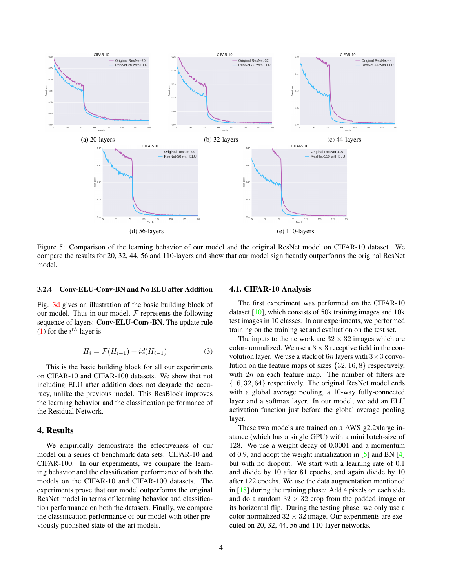<span id="page-3-2"></span><span id="page-3-1"></span>

Figure 5: Comparison of the learning behavior of our model and the original ResNet model on CIFAR-10 dataset. We compare the results for 20, 32, 44, 56 and 110-layers and show that our model significantly outperforms the original ResNet model.

#### 3.2.4 Conv-ELU-Conv-BN and No ELU after Addition

Fig. [3d](#page-2-0) gives an illustration of the basic building block of our model. Thus in our model,  $\mathcal F$  represents the following sequence of layers: Conv-ELU-Conv-BN. The update rule [\(1\)](#page-1-2) for the  $i^{th}$  layer is

$$
H_i = \mathcal{F}(H_{i-1}) + id(H_{i-1})
$$
\n(3)

This is the basic building block for all our experiments on CIFAR-10 and CIFAR-100 datasets. We show that not including ELU after addition does not degrade the accuracy, unlike the previous model. This ResBlock improves the learning behavior and the classification performance of the Residual Network.

### 4. Results

We empirically demonstrate the effectiveness of our model on a series of benchmark data sets: CIFAR-10 and CIFAR-100. In our experiments, we compare the learning behavior and the classification performance of both the models on the CIFAR-10 and CIFAR-100 datasets. The experiments prove that our model outperforms the original ResNet model in terms of learning behavior and classification performance on both the datasets. Finally, we compare the classification performance of our model with other previously published state-of-the-art models.

### <span id="page-3-0"></span>4.1. CIFAR-10 Analysis

The first experiment was performed on the CIFAR-10 dataset [\[10\]](#page-5-4), which consists of 50k training images and 10k test images in 10 classes. In our experiments, we performed training on the training set and evaluation on the test set.

The inputs to the network are  $32 \times 32$  images which are color-normalized. We use a  $3 \times 3$  receptive field in the convolution layer. We use a stack of  $6n$  layers with  $3 \times 3$  convolution on the feature maps of sizes {32, 16, 8} respectively, with  $2n$  on each feature map. The number of filters are {16, 32, 64} respectively. The original ResNet model ends with a global average pooling, a 10-way fully-connected layer and a softmax layer. In our model, we add an ELU activation function just before the global average pooling layer.

These two models are trained on a AWS g2.2xlarge instance (which has a single GPU) with a mini batch-size of 128. We use a weight decay of 0.0001 and a momentum of 0.9, and adopt the weight initialization in [\[5\]](#page-5-12) and BN [\[4\]](#page-5-7) but with no dropout. We start with a learning rate of 0.1 and divide by 10 after 81 epochs, and again divide by 10 after 122 epochs. We use the data augmentation mentioned in [\[18\]](#page-6-3) during the training phase: Add 4 pixels on each side and do a random  $32 \times 32$  crop from the padded image or its horizontal flip. During the testing phase, we only use a color-normalized  $32 \times 32$  image. Our experiments are executed on 20, 32, 44, 56 and 110-layer networks.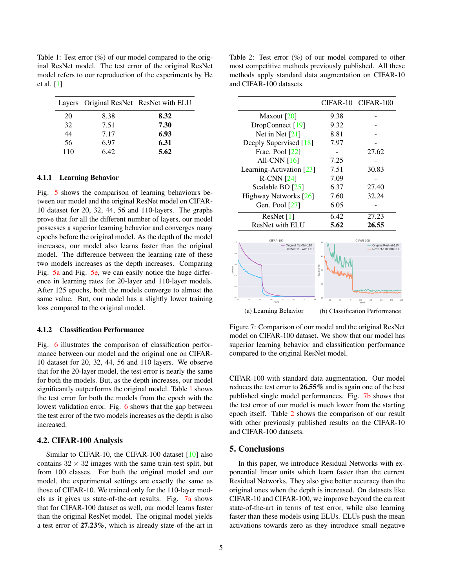<span id="page-4-3"></span><span id="page-4-0"></span>Table 1: Test error  $(\%)$  of our model compared to the original ResNet model. The test error of the original ResNet model refers to our reproduction of the experiments by He et al. [\[1\]](#page-5-10)

|     |      | Layers Original ResNet ResNet with ELU |
|-----|------|----------------------------------------|
| 20  | 8.38 | 8.32                                   |
| 32  | 7.51 | 7.30                                   |
| 44  | 7.17 | 6.93                                   |
| 56  | 6.97 | 6.31                                   |
| 110 | 6.42 | 5.62                                   |

#### 4.1.1 Learning Behavior

Fig. [5](#page-3-1) shows the comparison of learning behaviours between our model and the original ResNet model on CIFAR-10 dataset for 20, 32, 44, 56 and 110-layers. The graphs prove that for all the different number of layers, our model possesses a superior learning behavior and converges many epochs before the original model. As the depth of the model increases, our model also learns faster than the original model. The difference between the learning rate of these two models increases as the depth increases. Comparing Fig. [5a](#page-3-1) and Fig. [5e,](#page-3-1) we can easily notice the huge difference in learning rates for 20-layer and 110-layer models. After 125 epochs, both the models converge to almost the same value. But, our model has a slightly lower training loss compared to the original model.

#### 4.1.2 Classification Performance

Fig. [6](#page-5-15) illustrates the comparison of classification performance between our model and the original one on CIFAR-10 dataset for 20, 32, 44, 56 and 110 layers. We observe that for the 20-layer model, the test error is nearly the same for both the models. But, as the depth increases, our model significantly outperforms the original model. Table [1](#page-4-0) shows the test error for both the models from the epoch with the lowest validation error. Fig. [6](#page-5-15) shows that the gap between the test error of the two models increases as the depth is also increased.

#### 4.2. CIFAR-100 Analysis

Similar to CIFAR-10, the CIFAR-100 dataset [\[10\]](#page-5-4) also contains  $32 \times 32$  images with the same train-test split, but from 100 classes. For both the original model and our model, the experimental settings are exactly the same as those of CIFAR-10. We trained only for the 110-layer models as it gives us state-of-the-art results. Fig. [7a](#page-4-1) shows that for CIFAR-100 dataset as well, our model learns faster than the original ResNet model. The original model yields a test error of 27.23%, which is already state-of-the-art in

<span id="page-4-2"></span>Table 2: Test error  $(\%)$  of our model compared to other most competitive methods previously published. All these methods apply standard data augmentation on CIFAR-10 and CIFAR-100 datasets.

|                                            |                       | CIFAR-10 CIFAR-100                       |
|--------------------------------------------|-----------------------|------------------------------------------|
| Maxout $[20]$                              | 9.38                  |                                          |
| DropConnect [19]                           | 9.32                  |                                          |
| Net in Net $[21]$                          | 8.81                  |                                          |
| Deeply Supervised [18]                     | 7.97                  |                                          |
| Frac. Pool $[22]$                          |                       | 27.62                                    |
| All-CNN $[16]$                             | 7.25                  |                                          |
| Learning-Activation $[23]$                 | 7.51                  | 30.83                                    |
| $R$ -CNN $[24]$                            | 7.09                  |                                          |
| Scalable BO [25]                           | 6.37                  | 27.40                                    |
| Highway Networks [26]                      | 7.60                  | 32.24                                    |
| Gen. Pool [27]                             | 6.05                  |                                          |
| ResNet $[1]$                               | 6.42                  | 27.23                                    |
| ResNet with ELU                            | 5.62                  | 26.55                                    |
| CIFAR-100                                  |                       | CIFAR-100                                |
| Original ResNet-110<br>ResNet-110 with ELU |                       | Original ResNet-11<br>ResNet-110 with EL |
|                                            |                       |                                          |
|                                            | Test Error [96]<br>35 |                                          |

<span id="page-4-1"></span>(a) Learning Behavior (b) Classification Performance

Figure 7: Comparison of our model and the original ResNet model on CIFAR-100 dataset. We show that our model has superior learning behavior and classification performance compared to the original ResNet model.

CIFAR-100 with standard data augmentation. Our model reduces the test error to 26.55% and is again one of the best published single model performances. Fig. [7b](#page-4-1) shows that the test error of our model is much lower from the starting epoch itself. Table [2](#page-4-2) shows the comparison of our result with other previously published results on the CIFAR-10 and CIFAR-100 datasets.

### 5. Conclusions

In this paper, we introduce Residual Networks with exponential linear units which learn faster than the current Residual Networks. They also give better accuracy than the original ones when the depth is increased. On datasets like CIFAR-10 and CIFAR-100, we improve beyond the current state-of-the-art in terms of test error, while also learning faster than these models using ELUs. ELUs push the mean activations towards zero as they introduce small negative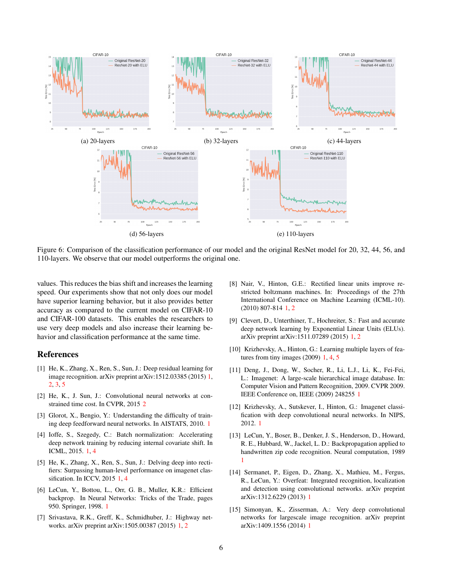<span id="page-5-15"></span>

Figure 6: Comparison of the classification performance of our model and the original ResNet model for 20, 32, 44, 56, and 110-layers. We observe that our model outperforms the original one.

values. This reduces the bias shift and increases the learning speed. Our experiments show that not only does our model have superior learning behavior, but it also provides better accuracy as compared to the current model on CIFAR-10 and CIFAR-100 datasets. This enables the researchers to use very deep models and also increase their learning behavior and classification performance at the same time.

### References

- <span id="page-5-10"></span>[1] He, K., Zhang, X., Ren, S., Sun, J.: Deep residual learning for image recognition. arXiv preprint arXiv:1512.03385 (2015) [1,](#page-0-0) [2,](#page-1-3) [3,](#page-2-2) [5](#page-4-3)
- <span id="page-5-14"></span>[2] He, K., J. Sun, J.: Convolutional neural networks at constrained time cost. In CVPR, 2015 [2](#page-1-3)
- <span id="page-5-6"></span>[3] Glorot, X., Bengio, Y.: Understanding the difficulty of training deep feedforward neural networks. In AISTATS, 2010. [1](#page-0-0)
- <span id="page-5-7"></span>[4] Ioffe, S., Szegedy, C.: Batch normalization: Accelerating deep network training by reducing internal covariate shift. In ICML, 2015. [1,](#page-0-0) [4](#page-3-2)
- <span id="page-5-12"></span>[5] He, K., Zhang, X., Ren, S., Sun, J.: Delving deep into rectifiers: Surpassing human-level performance on imagenet classification. In ICCV, 2015 [1,](#page-0-0) [4](#page-3-2)
- <span id="page-5-13"></span>[6] LeCun, Y., Bottou, L., Orr, G. B., Muller, K.R.: Efficient backprop. In Neural Networks: Tricks of the Trade, pages 950. Springer, 1998. [1](#page-0-0)
- <span id="page-5-11"></span>[7] Srivastava, R.K., Greff, K., Schmidhuber, J.: Highway networks. arXiv preprint arXiv:1505.00387 (2015) [1,](#page-0-0) [2](#page-1-3)
- <span id="page-5-9"></span>[8] Nair, V., Hinton, G.E.: Rectified linear units improve restricted boltzmann machines. In: Proceedings of the 27th International Conference on Machine Learning (ICML-10). (2010) 807-814 [1,](#page-0-0) [2](#page-1-3)
- <span id="page-5-8"></span>[9] Clevert, D., Unterthiner, T., Hochreiter, S.: Fast and accurate deep network learning by Exponential Linear Units (ELUs). arXiv preprint arXiv:1511.07289 (2015) [1,](#page-0-0) [2](#page-1-3)
- <span id="page-5-4"></span>[10] Krizhevsky, A., Hinton, G.: Learning multiple layers of features from tiny images (2009) [1,](#page-0-0) [4,](#page-3-2) [5](#page-4-3)
- <span id="page-5-5"></span>[11] Deng, J., Dong, W., Socher, R., Li, L.J., Li, K., Fei-Fei, L.: Imagenet: A large-scale hierarchical image database. In: Computer Vision and Pattern Recognition, 2009. CVPR 2009. IEEE Conference on, IEEE (2009) 248255 [1](#page-0-0)
- <span id="page-5-1"></span>[12] Krizhevsky, A., Sutskever, I., Hinton, G.: Imagenet classification with deep convolutional neural networks. In NIPS, 2012. [1](#page-0-0)
- <span id="page-5-0"></span>[13] LeCun, Y., Boser, B., Denker, J. S., Henderson, D., Howard, R. E., Hubbard, W., Jackel, L. D.: Backpropagation applied to handwritten zip code recognition. Neural computation, 1989 [1](#page-0-0)
- <span id="page-5-2"></span>[14] Sermanet, P., Eigen, D., Zhang, X., Mathieu, M., Fergus, R., LeCun, Y.: Overfeat: Integrated recognition, localization and detection using convolutional networks. arXiv preprint arXiv:1312.6229 (2013) [1](#page-0-0)
- <span id="page-5-3"></span>[15] Simonyan, K., Zisserman, A.: Very deep convolutional networks for largescale image recognition. arXiv preprint arXiv:1409.1556 (2014) [1](#page-0-0)